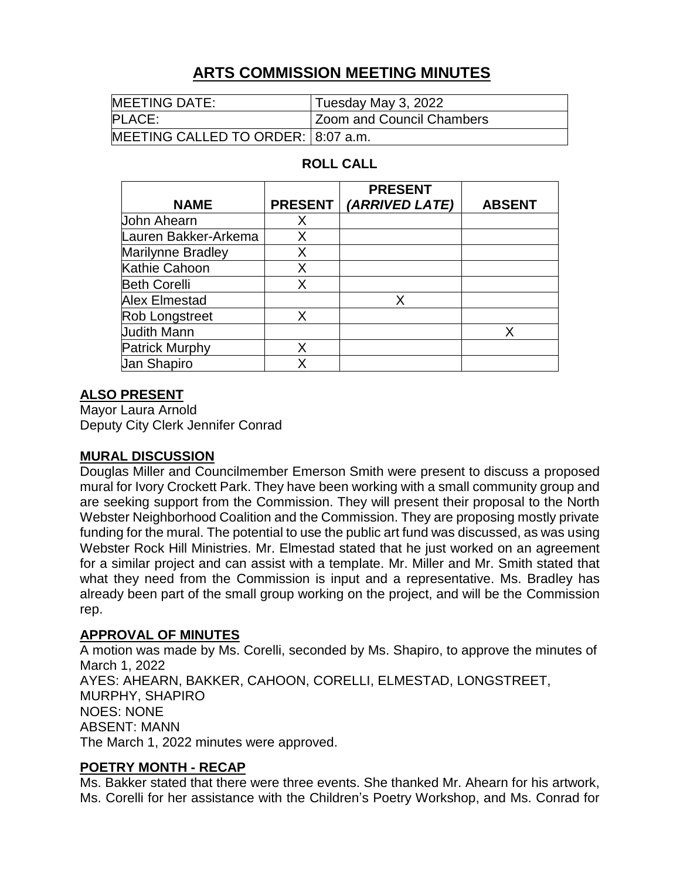# **ARTS COMMISSION MEETING MINUTES**

| <b>MEETING DATE:</b>               | Tuesday May 3, 2022              |
|------------------------------------|----------------------------------|
| PLACE:                             | <b>Zoom and Council Chambers</b> |
| MEETING CALLED TO ORDER: 8:07 a.m. |                                  |

## **ROLL CALL**

|                          |                | <b>PRESENT</b> |               |
|--------------------------|----------------|----------------|---------------|
| <b>NAME</b>              | <b>PRESENT</b> | (ARRIVED LATE) | <b>ABSENT</b> |
| <b>John Ahearn</b>       | Χ              |                |               |
| Lauren Bakker-Arkema     | Х              |                |               |
| <b>Marilynne Bradley</b> | Х              |                |               |
| Kathie Cahoon            | Χ              |                |               |
| <b>Beth Corelli</b>      | X              |                |               |
| Alex Elmestad            |                | X              |               |
| <b>Rob Longstreet</b>    | X              |                |               |
| <b>Judith Mann</b>       |                |                | X             |
| <b>Patrick Murphy</b>    | Χ              |                |               |
| <b>Jan Shapiro</b>       |                |                |               |

## **ALSO PRESENT**

Mayor Laura Arnold Deputy City Clerk Jennifer Conrad

#### **MURAL DISCUSSION**

Douglas Miller and Councilmember Emerson Smith were present to discuss a proposed mural for Ivory Crockett Park. They have been working with a small community group and are seeking support from the Commission. They will present their proposal to the North Webster Neighborhood Coalition and the Commission. They are proposing mostly private funding for the mural. The potential to use the public art fund was discussed, as was using Webster Rock Hill Ministries. Mr. Elmestad stated that he just worked on an agreement for a similar project and can assist with a template. Mr. Miller and Mr. Smith stated that what they need from the Commission is input and a representative. Ms. Bradley has already been part of the small group working on the project, and will be the Commission rep.

## **APPROVAL OF MINUTES**

A motion was made by Ms. Corelli, seconded by Ms. Shapiro, to approve the minutes of March 1, 2022 AYES: AHEARN, BAKKER, CAHOON, CORELLI, ELMESTAD, LONGSTREET, MURPHY, SHAPIRO NOES: NONE ABSENT: MANN The March 1, 2022 minutes were approved.

## **POETRY MONTH - RECAP**

Ms. Bakker stated that there were three events. She thanked Mr. Ahearn for his artwork, Ms. Corelli for her assistance with the Children's Poetry Workshop, and Ms. Conrad for